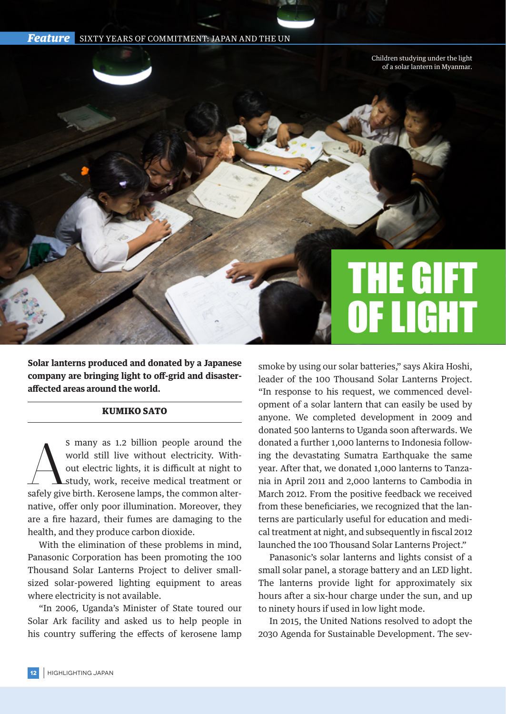



**Solar lanterns produced and donated by a Japanese company are bringing light to off-grid and disasteraffected areas around the world.**

## KUMIKO SATO

S many as 1.2 billion people around the<br>world still live without electricity. With-<br>out electric lights, it is difficult at night to<br>stidy, work, receive medical treatment or<br>safely give birth. Kerosene lamps, the common a s many as 1.2 billion people around the world still live without electricity. Without electric lights, it is difficult at night to study, work, receive medical treatment or native, offer only poor illumination. Moreover, they are a fire hazard, their fumes are damaging to the health, and they produce carbon dioxide.

With the elimination of these problems in mind, Panasonic Corporation has been promoting the 100 Thousand Solar Lanterns Project to deliver smallsized solar-powered lighting equipment to areas where electricity is not available.

"In 2006, Uganda's Minister of State toured our Solar Ark facility and asked us to help people in his country suffering the effects of kerosene lamp smoke by using our solar batteries," says Akira Hoshi, leader of the 100 Thousand Solar Lanterns Project. "In response to his request, we commenced development of a solar lantern that can easily be used by anyone. We completed development in 2009 and donated 500 lanterns to Uganda soon afterwards. We donated a further 1,000 lanterns to Indonesia following the devastating Sumatra Earthquake the same year. After that, we donated 1,000 lanterns to Tanzania in April 2011 and 2,000 lanterns to Cambodia in March 2012. From the positive feedback we received from these beneficiaries, we recognized that the lanterns are particularly useful for education and medical treatment at night, and subsequently in fiscal 2012 launched the 100 Thousand Solar Lanterns Project."

Panasonic's solar lanterns and lights consist of a small solar panel, a storage battery and an LED light. The lanterns provide light for approximately six hours after a six-hour charge under the sun, and up to ninety hours if used in low light mode.

In 2015, the United Nations resolved to adopt the 2030 Agenda for Sustainable Development. The sev